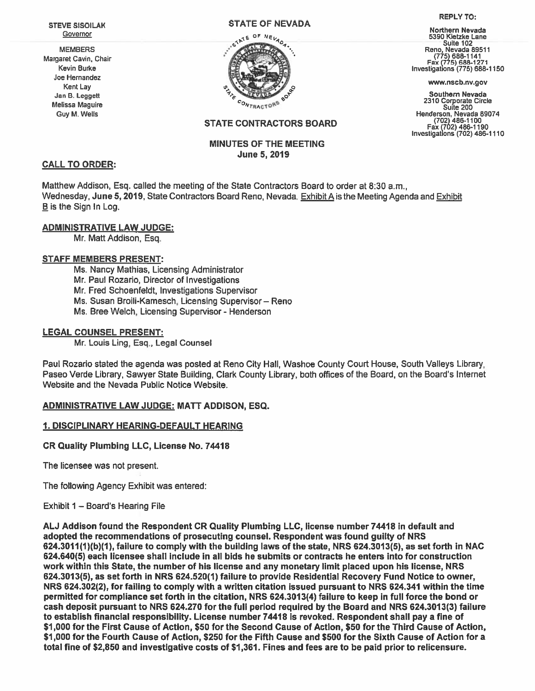STEVE SISOILAK **Governor** 

MEMBERS Margaret Cavin, Chair Kevin Burke Joe Hernandez Kent Lay Jan B. Leggett Melissa Maguire Guy M. Wells

#### STATE OF NEVADA



#### REPLY TO:

Northern Nevada 5390 Kietzke Lane —— Suite 102<br>Reno, Nevada 8951<sup>.</sup> (775) 688-1141 Fax (775) 688-1271 Investigations (775)688-1150

www.nscb.nv.gov

Southern Nevada <sup>2310</sup> Corporate Circle Suite <sup>200</sup> Henderson, Nevada 89074 (702) 486-1100 Fax (702) 486-1190 Investigations (702) 486-1110

# STATE CONTRACTORS BOARD

## MINUTES OF THE MEETING June 5,2019

#### CALL TO ORDER:

Matthew Addison, Esq. Called the meeting of the State Contractors Board to order at 8:30 am., Wednesday, June 5,2019, State Contractors Board Reno, Nevada. Exhibit A is the Meeting Agenda and Exhibit  $B$  is the Sign In Log.

## ADMINISTRATIVE LAW JUDGE:

Mr. Matt Addison, Esq.

## STAFF MEMBERS PRESENT:

Ms. Nancy Mathias, Licensing Administrator Mr. Paul Rozario, Director of Investigations Mr. Fred Schoenfeldt, Investigations Supervisor Ms. Susan Broili-Kamesch, Licensing Supervisor— Reno Ms. Bree Welch, Licensing Supervisor - Henderson

# LEGAL COUNSEL PRESENT:

Mr. Louis Ling, Esq., Legal Counsel

Paul Rozario stated the agenda was posted at Reno City Hall, Washoe County Court House, South Valleys Library, Paseo Verde Library, Sawyer State Building, Clark County Library, both offices of the Board, on the Board's Internet Website and the Nevada Public Notice Website.

## ADMINISTRATIVE LAW JUDGE: MATT ADDISON, ESQ.

## 1. DISCIPLINARY HEARING-DEFAULT HEARING

## CR Quality Plumbing LLC, License No. 74418

The licensee was not present.

The following Agency Exhibit was entered:

## Exhibit 1 — Board's Hearing File

AU Addison found the Respondent CR Quality Plumbing LLC, license number 74418 in default and adopted the recommendations of prosecuting counsel. Respondent was found guilty of NRS  $624.3011(1)(b)(1)$ , failure to comply with the building laws of the state, NRS  $624.3013(5)$ , as set forth in NAC 624.640(5) each licensee shall include in all bids he submits or contracts he enters into for construction work within this State, the number of his license and any monetary limit placed upon his license, NRS 624.3013(5), as set forth in NRS 624.520(1) failure to provide Residential Recovery Fund Notice to owner, NRS 624.302(2), for failing to comply with <sup>a</sup> written citation issued pursuan<sup>t</sup> to NRS 624.341 within the time permitted for compliance set forth in the citation, NRS 624.3013(4) failure to keep in full force the bond or cash deposit pursuan<sup>t</sup> to NRS 624.270 for the full period required by the Board and NRS 624.3013(3) failure to establish financial responsibility. License number 74418 is revoked. Respondent shall pay <sup>a</sup> fine of \$1,000 for the First Cause of Action, \$50 for the Second Cause of Action, \$50 for the Third Cause of Action, \$1,000 for the Fourth Cause of Action, \$250 for the Fifth Cause and \$500 for the Sixth Cause of Action for <sup>a</sup> total fine of \$2,850 and investigative costs of \$1,361. Fines and fees are to be paid prior to relicensure.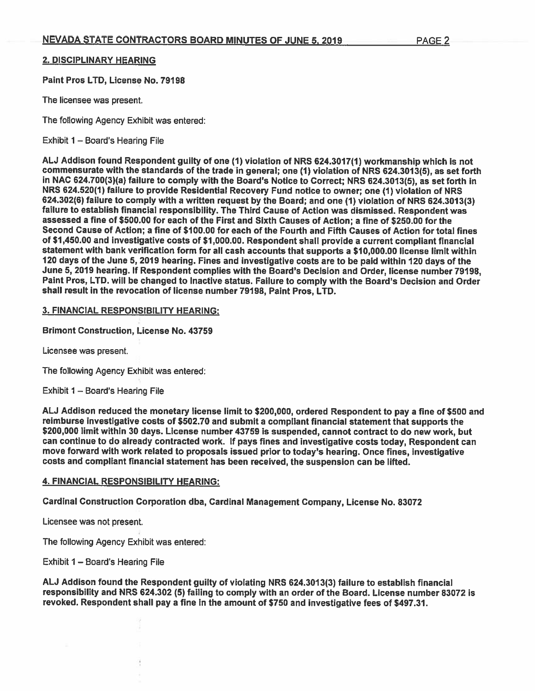# 2. DISCIPLINARY HEARING

Paint Pros LTD, License No. 79198

The licensee was present.

The following Agency Exhibit was entered:

Exhibit 1 — Board's Hearing File

AU Addison found Respondent guilty of one (1) violation of NRS 624.3017(1) workmanship which is not commensurate with the standards of the trade in general; one (1) violation of NRS 624.3013(5), as set forth in NAC 624.700(3)(a) failure to comply with the Board's Notice to Correct; NRS 624.3013(5), as set forth in NRS 624.520(1) failure to provide Residential Recovery Fund notice to owner; one (1) violation of NRS 624.302(6) failure to comply with <sup>a</sup> written reques<sup>t</sup> by the Board; and one (1) violation of NRS 624.3013(3) failure to establish financial responsibility. The Third Cause of Action was dismissed. Respondent was assessed <sup>a</sup> fine of \$500.00 for each of the First and Sixth Causes of Action; <sup>a</sup> fine of \$250.00 for the Second Cause of Action; <sup>a</sup> fine of \$100.00 for each of the Fourth and Fifth Causes of Action for total fines of \$1,450.00 and investigative costs of \$1,000.00. Respondent shall provide <sup>a</sup> current compliant financial statement with bank verification form for all cash accounts that supports <sup>a</sup> \$10,000.00 license limit within <sup>120</sup> days of the June 5, <sup>2019</sup> hearing. Fines and investigative costs are to be paid within <sup>120</sup> days of the June 5, 2019 hearing. If Respondent complies with the Board's Decision and Order, license number 79198, Paint Pros, LTD. will be changed to Inactive status. Failure to comply with the Board's Decision and Order shall result in the revocation of license number 79198, Paint Pros, LTD.

# 3. FINANCIAL RESPONSIBILITY HEARING:

Brimont Construction, License No. 43759

Licensee was present.

The following Agency Exhibit was entered:

Exhibit 1 — Board's Hearing File

AU Addison reduced the monetary license limit to \$200,000, ordered Respondent to pay <sup>a</sup> fine of \$500 and reimburse investigative costs of \$502.70 and submit <sup>a</sup> compliant financial statement that supports the \$200,000 limit within <sup>30</sup> days. License number <sup>43759</sup> is suspended, cannot contract to do new work, but can continue to do already contracted work. If pays fines and investigative costs today, Respondent can move forward with work related to proposals issued prior to today's hearing. Once fines, investigative costs and compliant financial statement has been received, the suspension can be lifted.

## 4. FINANCIAL RESPONSIBILITY HEARING:

Cardinal Construction Corporation dba, Cardinal Management Company, License No. <sup>83072</sup>

Licensee was not present.

The following Agency Exhibit was entered:

Exhibit 1 — Board's Hearing File

AU Addison found the Respondent guilty of violating NRS 624.3013(3) failure to establish financial responsibility and NRS 624.302 (5) failing to comply with an order of the Board. License number 83072 is revoked. Respondent shall pay <sup>a</sup> fine in the amount of \$750 and investigative fees of \$497.31.